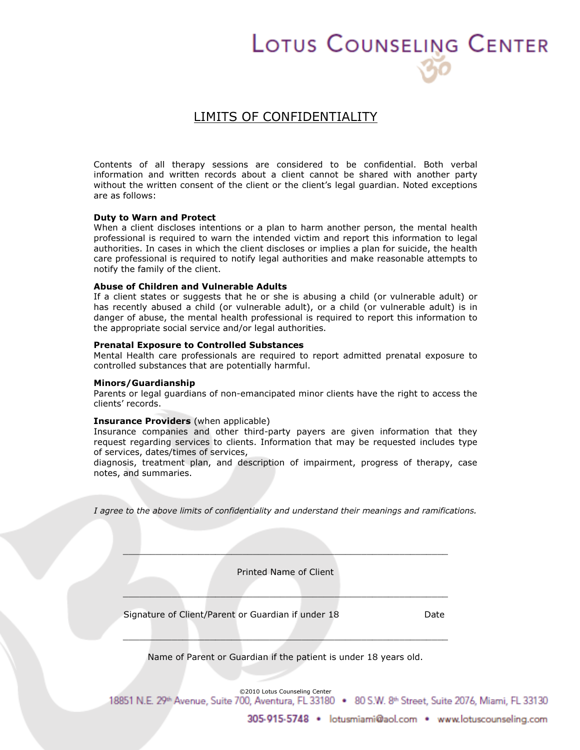## LOTUS COUNSELING CENTER

### LIMITS OF CONFIDENTIALITY

Contents of all therapy sessions are considered to be confidential. Both verbal information and written records about a client cannot be shared with another party without the written consent of the client or the client's legal guardian. Noted exceptions are as follows:

#### Duty to Warn and Protect

When a client discloses intentions or a plan to harm another person, the mental health professional is required to warn the intended victim and report this information to legal authorities. In cases in which the client discloses or implies a plan for suicide, the health care professional is required to notify legal authorities and make reasonable attempts to notify the family of the client.

#### Abuse of Children and Vulnerable Adults

If a client states or suggests that he or she is abusing a child (or vulnerable adult) or has recently abused a child (or vulnerable adult), or a child (or vulnerable adult) is in danger of abuse, the mental health professional is required to report this information to the appropriate social service and/or legal authorities.

#### Prenatal Exposure to Controlled Substances

Mental Health care professionals are required to report admitted prenatal exposure to controlled substances that are potentially harmful.

#### Minors/Guardianship

Parents or legal guardians of non-emancipated minor clients have the right to access the clients' records.

#### Insurance Providers (when applicable)

Insurance companies and other third-party payers are given information that they request regarding services to clients. Information that may be requested includes type of services, dates/times of services,

diagnosis, treatment plan, and description of impairment, progress of therapy, case notes, and summaries.

I agree to the above limits of confidentiality and understand their meanings and ramifications.

Printed Name of Client

\_\_\_\_\_\_\_\_\_\_\_\_\_\_\_\_\_\_\_\_\_\_\_\_\_\_\_\_\_\_\_\_\_\_\_\_\_\_\_\_\_\_\_\_\_\_\_\_\_\_\_\_\_\_\_\_\_\_\_\_

\_\_\_\_\_\_\_\_\_\_\_\_\_\_\_\_\_\_\_\_\_\_\_\_\_\_\_\_\_\_\_\_\_\_\_\_\_\_\_\_\_\_\_\_\_\_\_\_\_\_\_\_\_\_\_\_\_\_\_\_

Signature of Client/Parent or Guardian if under 18 Date

Name of Parent or Guardian if the patient is under 18 years old.

 $\overline{\phantom{a}}$  , and the set of the set of the set of the set of the set of the set of the set of the set of the set of the set of the set of the set of the set of the set of the set of the set of the set of the set of the s

©2010 Lotus Counseling Center18851 N.E. 29<sup>th</sup> Avenue, Suite 700, Aventura, FL 33180 • 80 S.W. 8th Street, Suite 2076, Miami, FL 33130